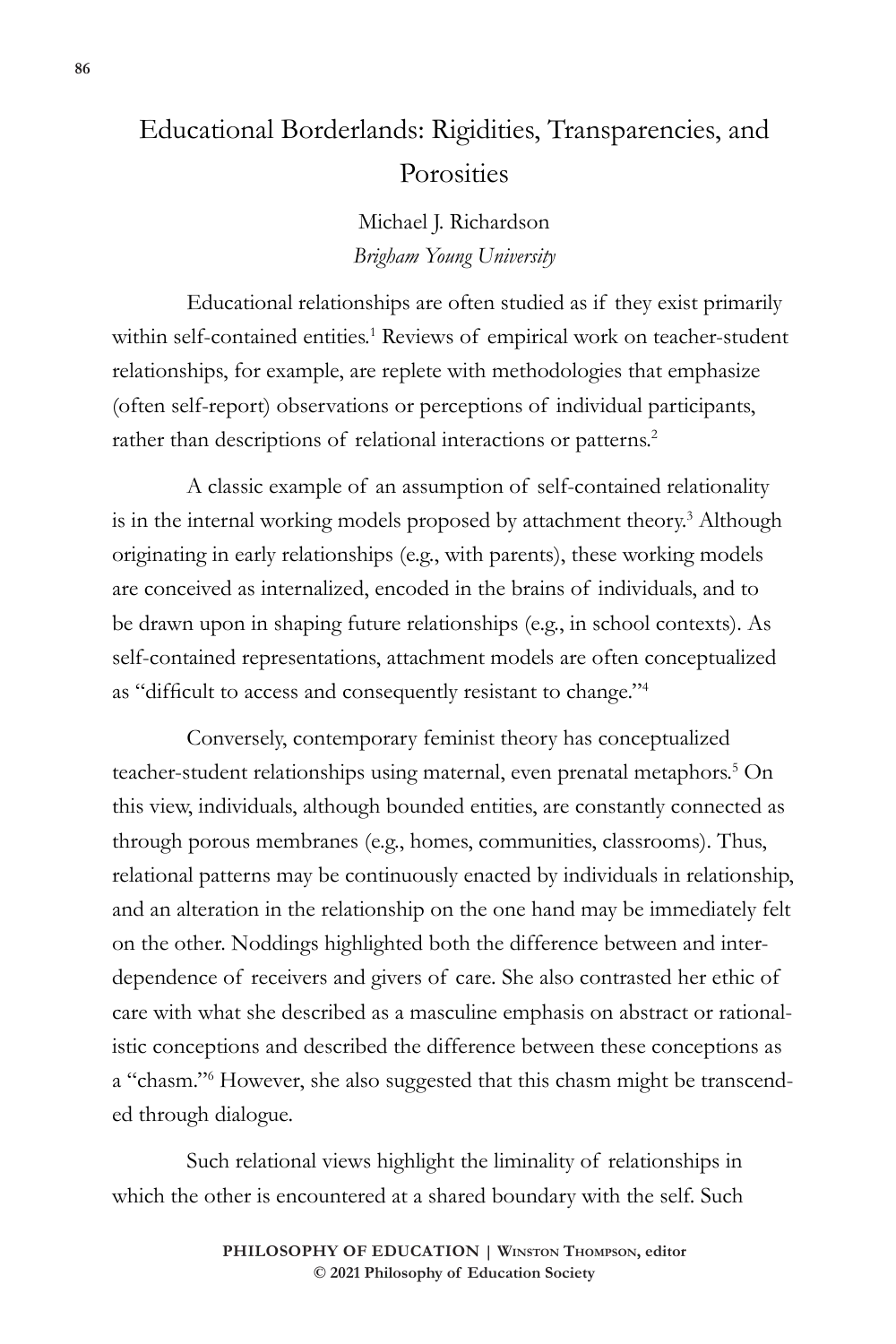# Educational Borderlands: Rigidities, Transparencies, and **Porosities**

Michael J. Richardson *Brigham Young University*

Educational relationships are often studied as if they exist primarily within self-contained entities.<sup>1</sup> Reviews of empirical work on teacher-student relationships, for example, are replete with methodologies that emphasize (often self-report) observations or perceptions of individual participants, rather than descriptions of relational interactions or patterns.<sup>2</sup>

A classic example of an assumption of self-contained relationality is in the internal working models proposed by attachment theory.<sup>3</sup> Although originating in early relationships (e.g., with parents), these working models are conceived as internalized, encoded in the brains of individuals, and to be drawn upon in shaping future relationships (e.g., in school contexts). As self-contained representations, attachment models are often conceptualized as "difficult to access and consequently resistant to change."<sup>4</sup>

Conversely, contemporary feminist theory has conceptualized teacher-student relationships using maternal, even prenatal metaphors.<sup>5</sup> On this view, individuals, although bounded entities, are constantly connected as through porous membranes (e.g., homes, communities, classrooms). Thus, relational patterns may be continuously enacted by individuals in relationship, and an alteration in the relationship on the one hand may be immediately felt on the other. Noddings highlighted both the difference between and interdependence of receivers and givers of care. She also contrasted her ethic of care with what she described as a masculine emphasis on abstract or rationalistic conceptions and described the difference between these conceptions as a "chasm."<sup>6</sup> However, she also suggested that this chasm might be transcended through dialogue.

Such relational views highlight the liminality of relationships in which the other is encountered at a shared boundary with the self. Such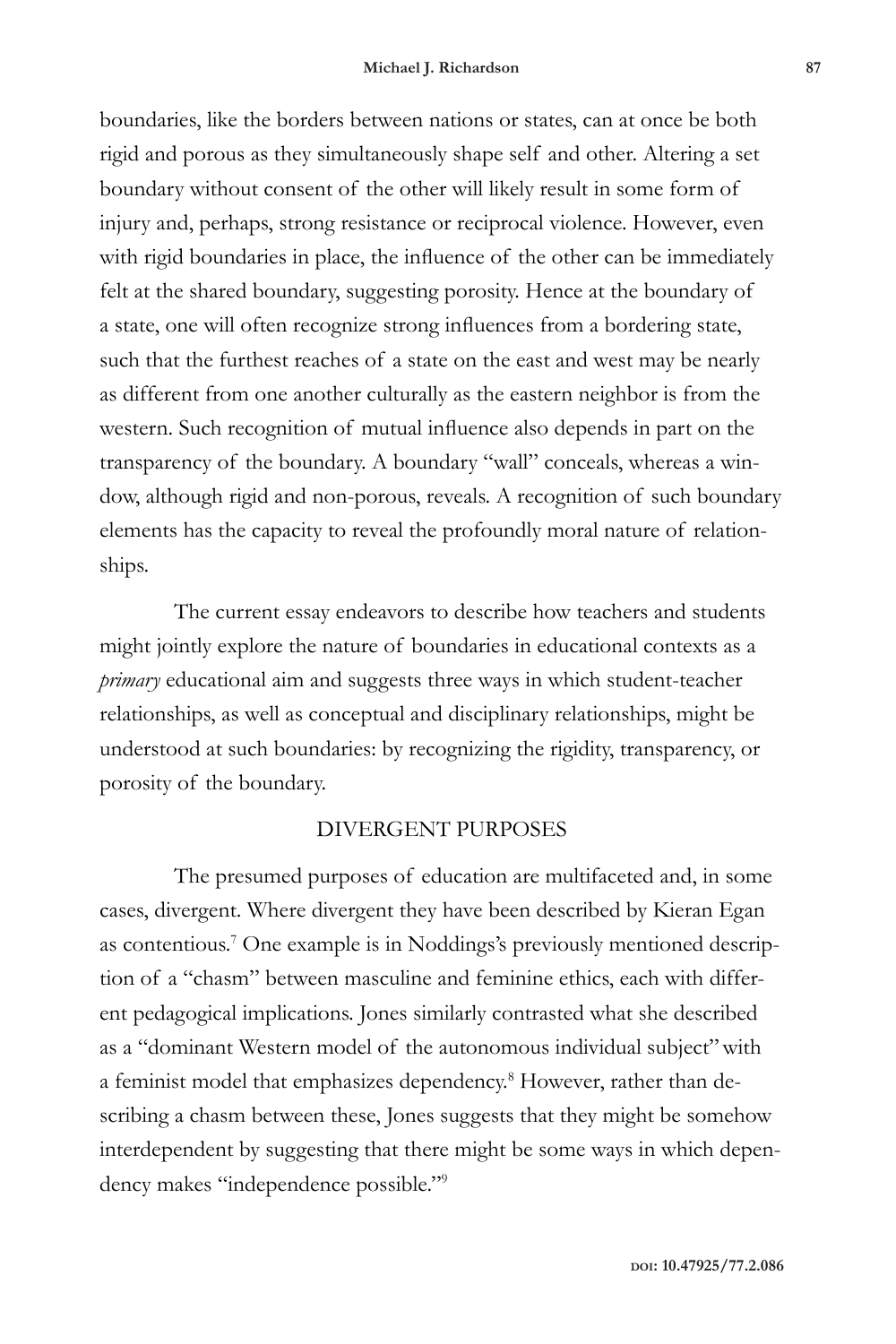boundaries, like the borders between nations or states, can at once be both rigid and porous as they simultaneously shape self and other. Altering a set boundary without consent of the other will likely result in some form of injury and, perhaps, strong resistance or reciprocal violence. However, even with rigid boundaries in place, the influence of the other can be immediately felt at the shared boundary, suggesting porosity. Hence at the boundary of a state, one will often recognize strong influences from a bordering state, such that the furthest reaches of a state on the east and west may be nearly as different from one another culturally as the eastern neighbor is from the western. Such recognition of mutual influence also depends in part on the transparency of the boundary. A boundary "wall" conceals, whereas a window, although rigid and non-porous, reveals. A recognition of such boundary elements has the capacity to reveal the profoundly moral nature of relationships.

The current essay endeavors to describe how teachers and students might jointly explore the nature of boundaries in educational contexts as a *primary* educational aim and suggests three ways in which student-teacher relationships, as well as conceptual and disciplinary relationships, might be understood at such boundaries: by recognizing the rigidity, transparency, or porosity of the boundary.

### DIVERGENT PURPOSES

The presumed purposes of education are multifaceted and, in some cases, divergent. Where divergent they have been described by Kieran Egan as contentious.<sup>7</sup> One example is in Noddings's previously mentioned description of a "chasm" between masculine and feminine ethics, each with different pedagogical implications. Jones similarly contrasted what she described as a "dominant Western model of the autonomous individual subject"with a feminist model that emphasizes dependency.<sup>8</sup> However, rather than describing a chasm between these, Jones suggests that they might be somehow interdependent by suggesting that there might be some ways in which dependency makes "independence possible."9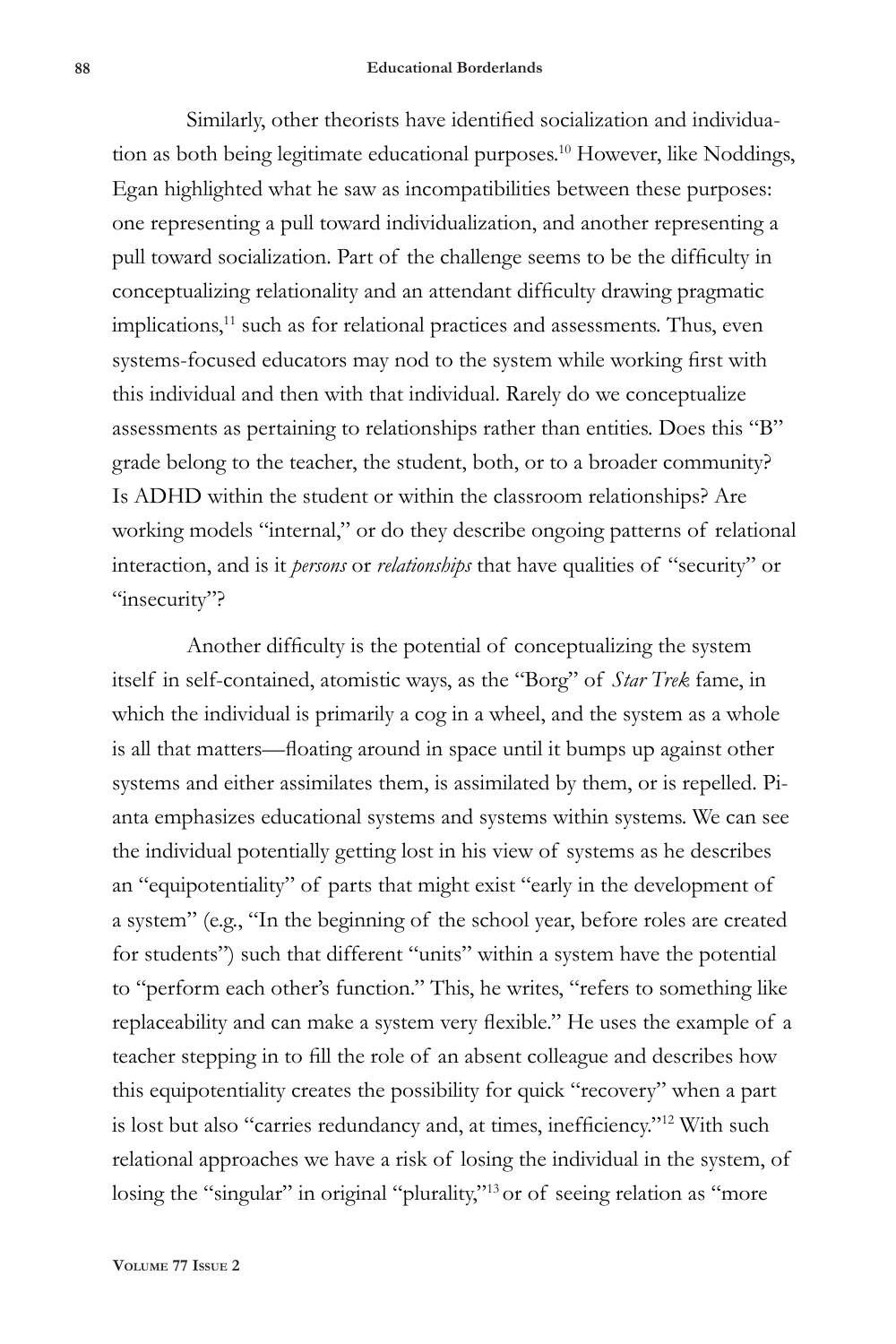### **88 Educational Borderlands**

Similarly, other theorists have identified socialization and individuation as both being legitimate educational purposes.10 However, like Noddings, Egan highlighted what he saw as incompatibilities between these purposes: one representing a pull toward individualization, and another representing a pull toward socialization. Part of the challenge seems to be the difficulty in conceptualizing relationality and an attendant difficulty drawing pragmatic implications,<sup>11</sup> such as for relational practices and assessments. Thus, even systems-focused educators may nod to the system while working first with this individual and then with that individual. Rarely do we conceptualize assessments as pertaining to relationships rather than entities. Does this "B" grade belong to the teacher, the student, both, or to a broader community? Is ADHD within the student or within the classroom relationships? Are working models "internal," or do they describe ongoing patterns of relational interaction, and is it *persons* or *relationships* that have qualities of "security" or "insecurity"?

Another difficulty is the potential of conceptualizing the system itself in self-contained, atomistic ways, as the "Borg" of *Star Trek* fame, in which the individual is primarily a cog in a wheel, and the system as a whole is all that matters—floating around in space until it bumps up against other systems and either assimilates them, is assimilated by them, or is repelled. Pianta emphasizes educational systems and systems within systems. We can see the individual potentially getting lost in his view of systems as he describes an "equipotentiality" of parts that might exist "early in the development of a system" (e.g., "In the beginning of the school year, before roles are created for students") such that different "units" within a system have the potential to "perform each other's function." This, he writes, "refers to something like replaceability and can make a system very flexible." He uses the example of a teacher stepping in to fill the role of an absent colleague and describes how this equipotentiality creates the possibility for quick "recovery" when a part is lost but also "carries redundancy and, at times, inefficiency."12 With such relational approaches we have a risk of losing the individual in the system, of losing the "singular" in original "plurality,"<sup>13</sup> or of seeing relation as "more

**Volume 77 Issue 2**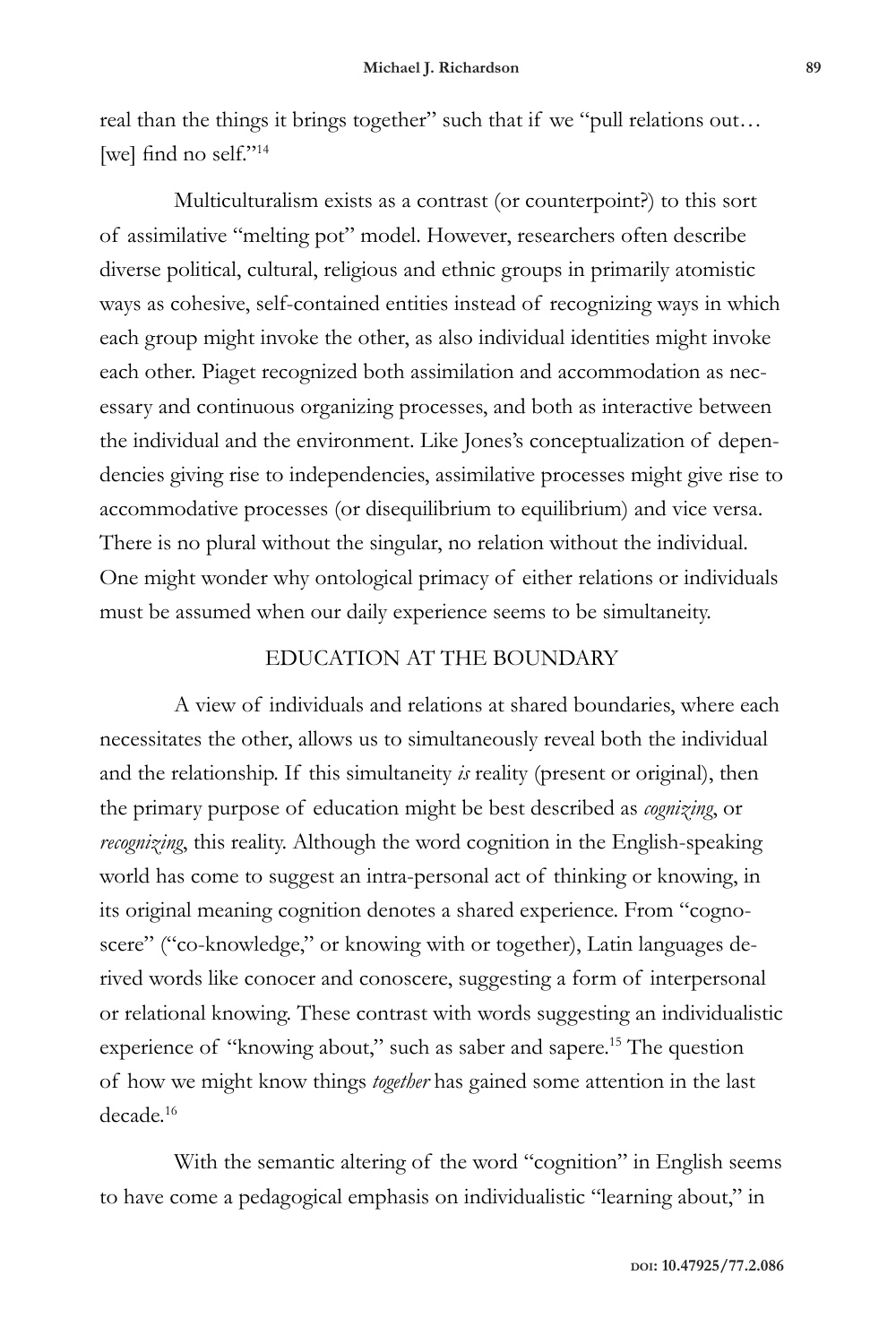real than the things it brings together" such that if we "pull relations out… [we] find no self."<sup>14</sup>

Multiculturalism exists as a contrast (or counterpoint?) to this sort of assimilative "melting pot" model. However, researchers often describe diverse political, cultural, religious and ethnic groups in primarily atomistic ways as cohesive, self-contained entities instead of recognizing ways in which each group might invoke the other, as also individual identities might invoke each other. Piaget recognized both assimilation and accommodation as necessary and continuous organizing processes, and both as interactive between the individual and the environment. Like Jones's conceptualization of dependencies giving rise to independencies, assimilative processes might give rise to accommodative processes (or disequilibrium to equilibrium) and vice versa. There is no plural without the singular, no relation without the individual. One might wonder why ontological primacy of either relations or individuals must be assumed when our daily experience seems to be simultaneity.

## EDUCATION AT THE BOUNDARY

A view of individuals and relations at shared boundaries, where each necessitates the other, allows us to simultaneously reveal both the individual and the relationship. If this simultaneity *is* reality (present or original), then the primary purpose of education might be best described as *cognizing*, or *recognizing*, this reality. Although the word cognition in the English-speaking world has come to suggest an intra-personal act of thinking or knowing, in its original meaning cognition denotes a shared experience. From "cognoscere" ("co-knowledge," or knowing with or together), Latin languages derived words like conocer and conoscere, suggesting a form of interpersonal or relational knowing. These contrast with words suggesting an individualistic experience of "knowing about," such as saber and sapere.<sup>15</sup> The question of how we might know things *together* has gained some attention in the last decade.16

With the semantic altering of the word "cognition" in English seems to have come a pedagogical emphasis on individualistic "learning about," in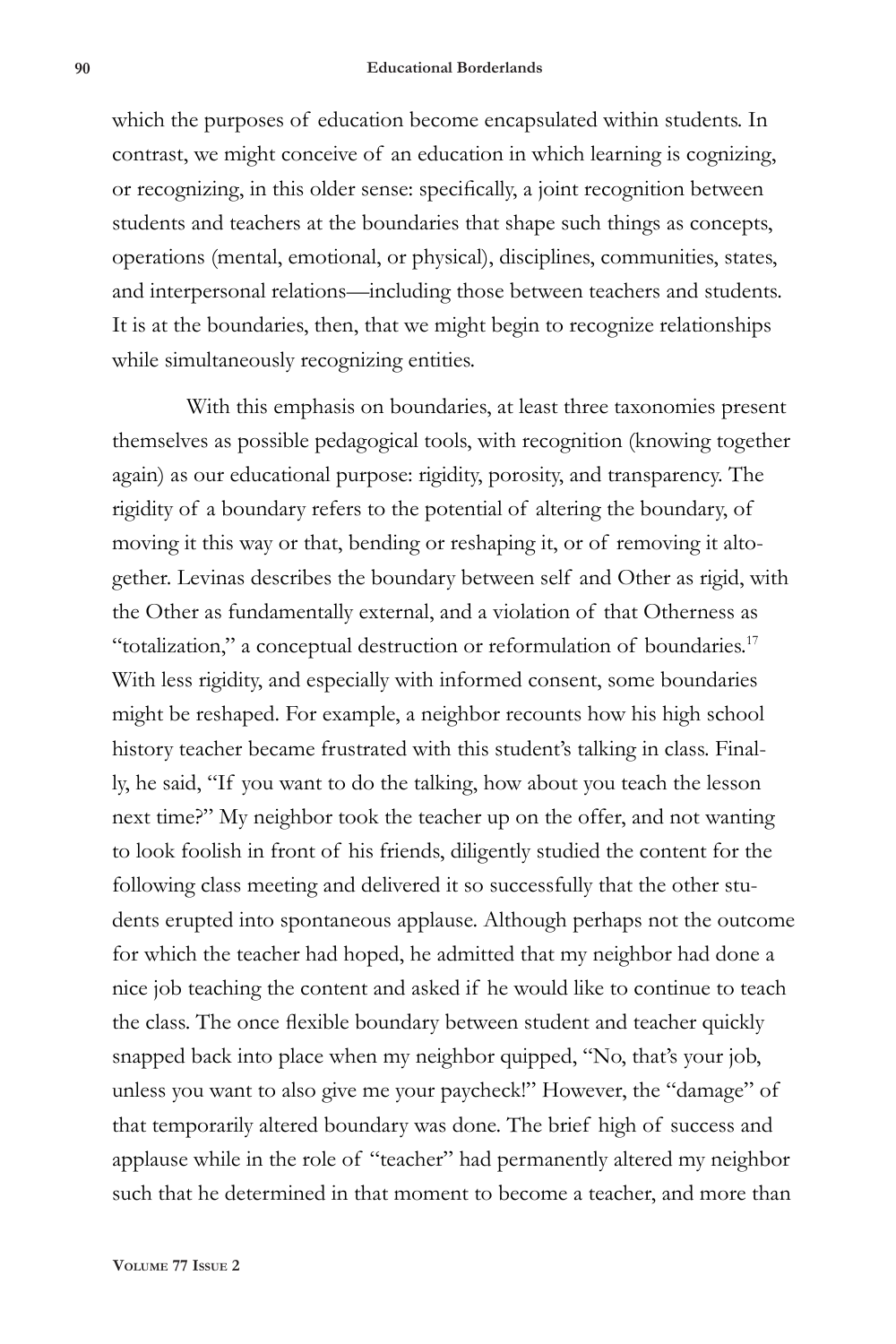#### **90 Educational Borderlands**

which the purposes of education become encapsulated within students. In contrast, we might conceive of an education in which learning is cognizing, or recognizing, in this older sense: specifically, a joint recognition between students and teachers at the boundaries that shape such things as concepts, operations (mental, emotional, or physical), disciplines, communities, states, and interpersonal relations—including those between teachers and students. It is at the boundaries, then, that we might begin to recognize relationships while simultaneously recognizing entities.

With this emphasis on boundaries, at least three taxonomies present themselves as possible pedagogical tools, with recognition (knowing together again) as our educational purpose: rigidity, porosity, and transparency. The rigidity of a boundary refers to the potential of altering the boundary, of moving it this way or that, bending or reshaping it, or of removing it altogether. Levinas describes the boundary between self and Other as rigid, with the Other as fundamentally external, and a violation of that Otherness as "totalization," a conceptual destruction or reformulation of boundaries.<sup>17</sup> With less rigidity, and especially with informed consent, some boundaries might be reshaped. For example, a neighbor recounts how his high school history teacher became frustrated with this student's talking in class. Finally, he said, "If you want to do the talking, how about you teach the lesson next time?" My neighbor took the teacher up on the offer, and not wanting to look foolish in front of his friends, diligently studied the content for the following class meeting and delivered it so successfully that the other students erupted into spontaneous applause. Although perhaps not the outcome for which the teacher had hoped, he admitted that my neighbor had done a nice job teaching the content and asked if he would like to continue to teach the class. The once flexible boundary between student and teacher quickly snapped back into place when my neighbor quipped, "No, that's your job, unless you want to also give me your paycheck!" However, the "damage" of that temporarily altered boundary was done. The brief high of success and applause while in the role of "teacher" had permanently altered my neighbor such that he determined in that moment to become a teacher, and more than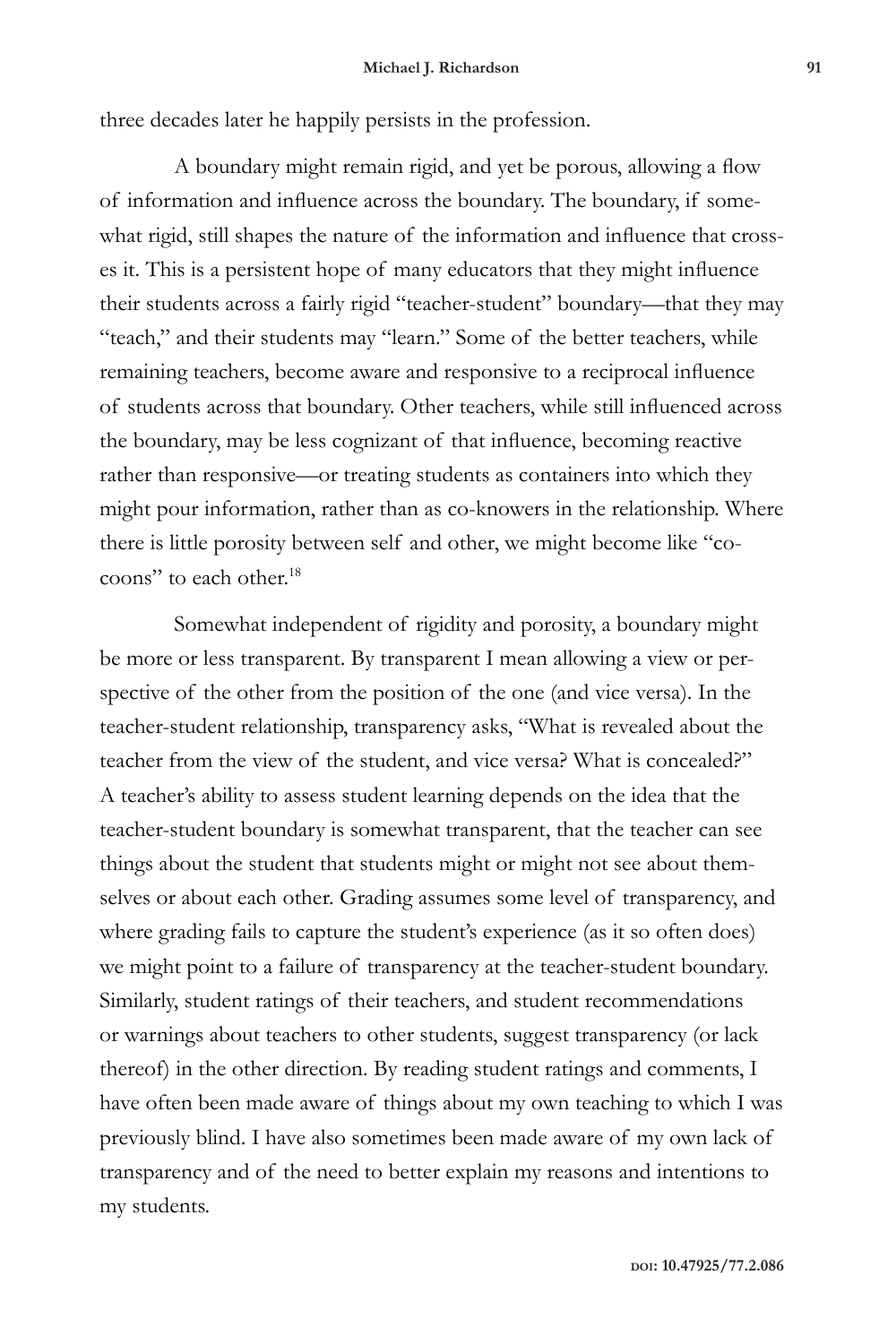three decades later he happily persists in the profession.

A boundary might remain rigid, and yet be porous, allowing a flow of information and influence across the boundary. The boundary, if somewhat rigid, still shapes the nature of the information and influence that crosses it. This is a persistent hope of many educators that they might influence their students across a fairly rigid "teacher-student" boundary—that they may "teach," and their students may "learn." Some of the better teachers, while remaining teachers, become aware and responsive to a reciprocal influence of students across that boundary. Other teachers, while still influenced across the boundary, may be less cognizant of that influence, becoming reactive rather than responsive—or treating students as containers into which they might pour information, rather than as co-knowers in the relationship. Where there is little porosity between self and other, we might become like "cocoons" to each other.<sup>18</sup>

Somewhat independent of rigidity and porosity, a boundary might be more or less transparent. By transparent I mean allowing a view or perspective of the other from the position of the one (and vice versa). In the teacher-student relationship, transparency asks, "What is revealed about the teacher from the view of the student, and vice versa? What is concealed?" A teacher's ability to assess student learning depends on the idea that the teacher-student boundary is somewhat transparent, that the teacher can see things about the student that students might or might not see about themselves or about each other. Grading assumes some level of transparency, and where grading fails to capture the student's experience (as it so often does) we might point to a failure of transparency at the teacher-student boundary. Similarly, student ratings of their teachers, and student recommendations or warnings about teachers to other students, suggest transparency (or lack thereof) in the other direction. By reading student ratings and comments, I have often been made aware of things about my own teaching to which I was previously blind. I have also sometimes been made aware of my own lack of transparency and of the need to better explain my reasons and intentions to my students.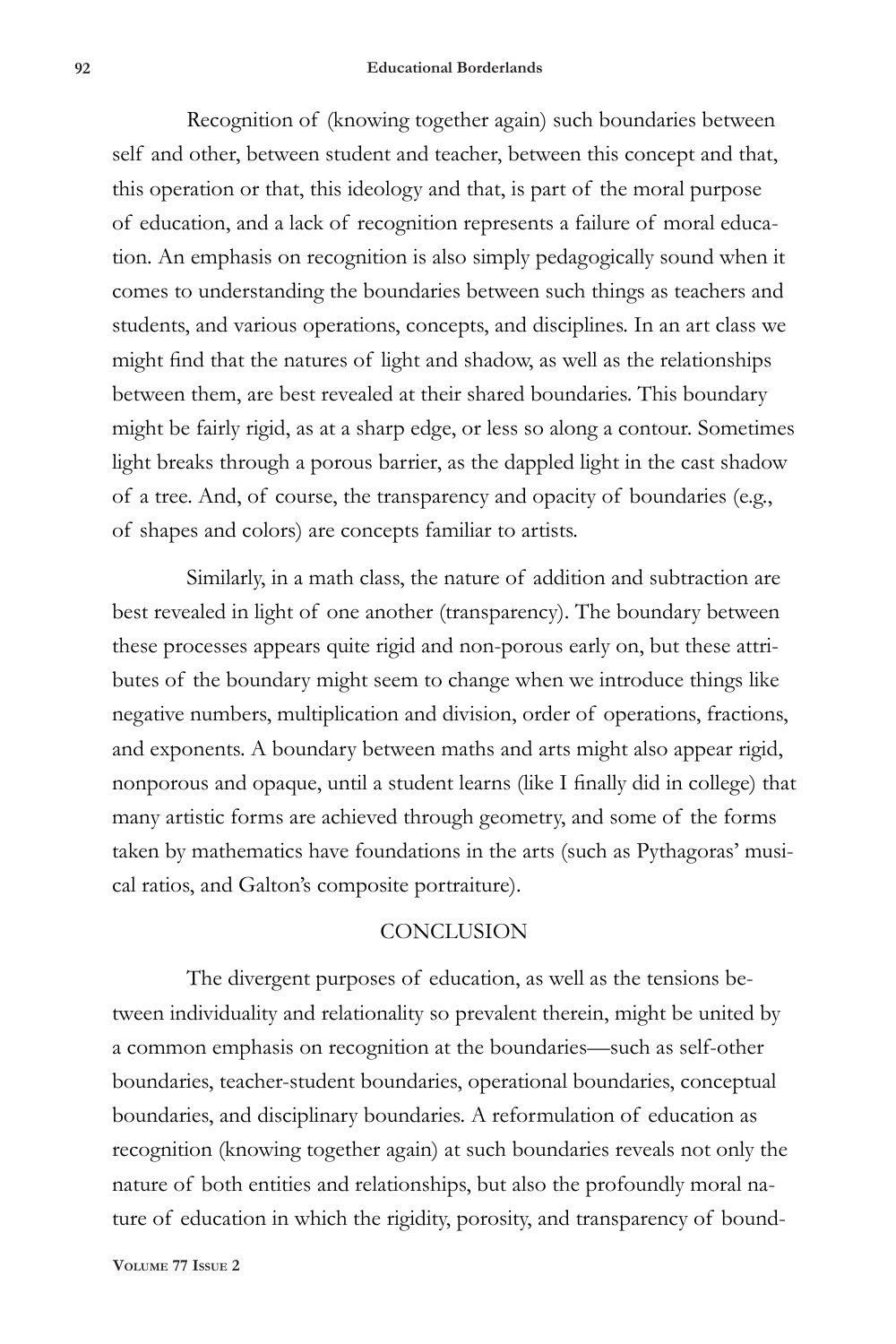### **92 Educational Borderlands**

Recognition of (knowing together again) such boundaries between self and other, between student and teacher, between this concept and that, this operation or that, this ideology and that, is part of the moral purpose of education, and a lack of recognition represents a failure of moral education. An emphasis on recognition is also simply pedagogically sound when it comes to understanding the boundaries between such things as teachers and students, and various operations, concepts, and disciplines. In an art class we might find that the natures of light and shadow, as well as the relationships between them, are best revealed at their shared boundaries. This boundary might be fairly rigid, as at a sharp edge, or less so along a contour. Sometimes light breaks through a porous barrier, as the dappled light in the cast shadow of a tree. And, of course, the transparency and opacity of boundaries (e.g., of shapes and colors) are concepts familiar to artists.

Similarly, in a math class, the nature of addition and subtraction are best revealed in light of one another (transparency). The boundary between these processes appears quite rigid and non-porous early on, but these attributes of the boundary might seem to change when we introduce things like negative numbers, multiplication and division, order of operations, fractions, and exponents. A boundary between maths and arts might also appear rigid, nonporous and opaque, until a student learns (like I finally did in college) that many artistic forms are achieved through geometry, and some of the forms taken by mathematics have foundations in the arts (such as Pythagoras' musical ratios, and Galton's composite portraiture).

### **CONCLUSION**

The divergent purposes of education, as well as the tensions between individuality and relationality so prevalent therein, might be united by a common emphasis on recognition at the boundaries—such as self-other boundaries, teacher-student boundaries, operational boundaries, conceptual boundaries, and disciplinary boundaries. A reformulation of education as recognition (knowing together again) at such boundaries reveals not only the nature of both entities and relationships, but also the profoundly moral nature of education in which the rigidity, porosity, and transparency of bound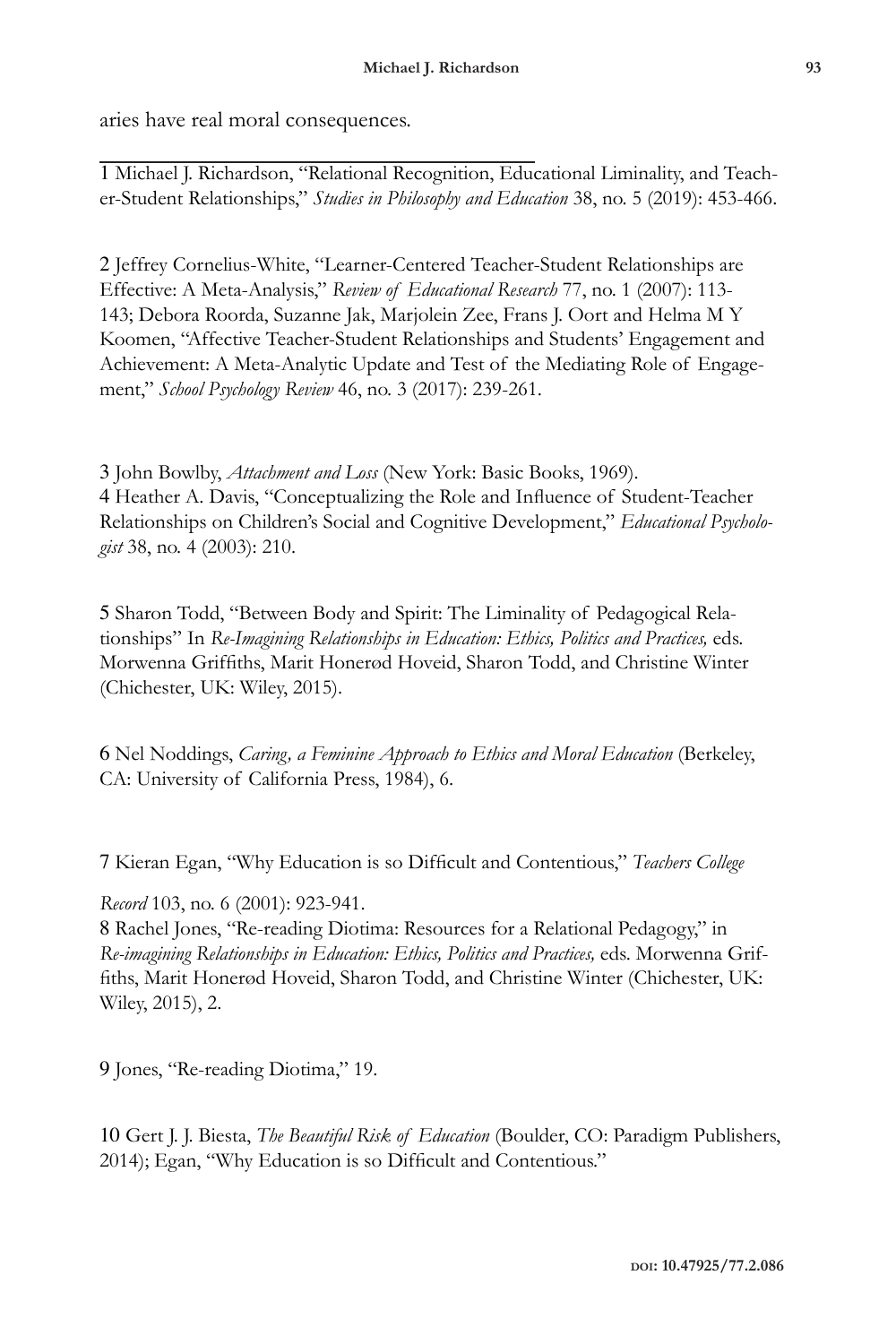aries have real moral consequences.

1 Michael J. Richardson, "Relational Recognition, Educational Liminality, and Teacher-Student Relationships," *Studies in Philosophy and Education* 38, no. 5 (2019): 453-466.

2 Jeffrey Cornelius-White, "Learner-Centered Teacher-Student Relationships are Effective: A Meta-Analysis," *Review of Educational Research* 77, no. 1 (2007): 113- 143; Debora Roorda, Suzanne Jak, Marjolein Zee, Frans J. Oort and Helma M Y Koomen, "Affective Teacher-Student Relationships and Students' Engagement and Achievement: A Meta-Analytic Update and Test of the Mediating Role of Engagement," *School Psychology Review* 46, no. 3 (2017): 239-261.

3 John Bowlby, *Attachment and Loss* (New York: Basic Books, 1969). 4 Heather A. Davis, "Conceptualizing the Role and Influence of Student-Teacher Relationships on Children's Social and Cognitive Development," *Educational Psychologist* 38, no. 4 (2003): 210.

5 Sharon Todd, "Between Body and Spirit: The Liminality of Pedagogical Relationships" In *Re-Imagining Relationships in Education: Ethics, Politics and Practices,* eds. Morwenna Griffiths, Marit Honerød Hoveid, Sharon Todd, and Christine Winter (Chichester, UK: Wiley, 2015).

6 Nel Noddings, *Caring, a Feminine Approach to Ethics and Moral Education* (Berkeley, CA: University of California Press, 1984), 6.

7 Kieran Egan, "Why Education is so Difficult and Contentious," *Teachers College* 

*Record* 103, no. 6 (2001): 923-941.

8 Rachel Jones, "Re-reading Diotima: Resources for a Relational Pedagogy," in *Re-imagining Relationships in Education: Ethics, Politics and Practices,* eds. Morwenna Griffiths, Marit Honerød Hoveid, Sharon Todd, and Christine Winter (Chichester, UK: Wiley, 2015), 2.

9 Jones, "Re-reading Diotima," 19.

10 Gert J. J. Biesta, *The Beautiful Risk of Education* (Boulder, CO: Paradigm Publishers, 2014); Egan, "Why Education is so Difficult and Contentious."